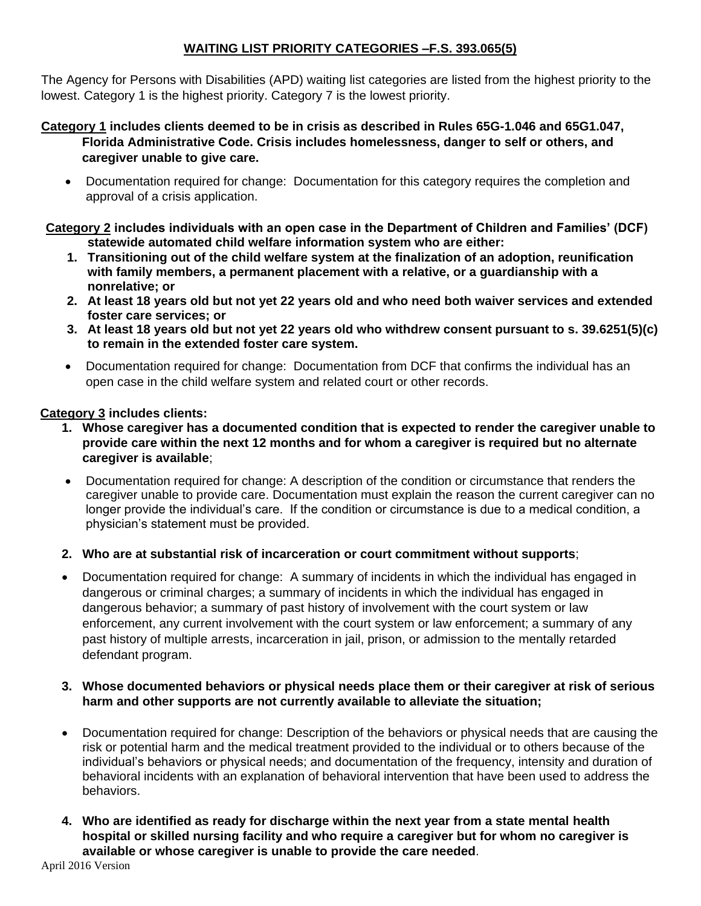# **WAITING LIST PRIORITY CATEGORIES –F.S. 393.065(5)**

The Agency for Persons with Disabilities (APD) waiting list categories are listed from the highest priority to the lowest. Category 1 is the highest priority. Category 7 is the lowest priority.

### **Category 1 includes clients deemed to be in crisis as described in Rules 65G-1.046 and 65G1.047, Florida Administrative Code. Crisis includes homelessness, danger to self or others, and caregiver unable to give care.**

 Documentation required for change: Documentation for this category requires the completion and approval of a crisis application.

**Category 2 includes individuals with an open case in the Department of Children and Families' (DCF) statewide automated child welfare information system who are either:**

- **1. Transitioning out of the child welfare system at the finalization of an adoption, reunification with family members, a permanent placement with a relative, or a guardianship with a nonrelative; or**
- **2. At least 18 years old but not yet 22 years old and who need both waiver services and extended foster care services; or**
- **3. At least 18 years old but not yet 22 years old who withdrew consent pursuant to s. 39.6251(5)(c) to remain in the extended foster care system.**
- Documentation required for change: Documentation from DCF that confirms the individual has an open case in the child welfare system and related court or other records.

## **Category 3 includes clients:**

- **1. Whose caregiver has a documented condition that is expected to render the caregiver unable to provide care within the next 12 months and for whom a caregiver is required but no alternate caregiver is available**;
- Documentation required for change: A description of the condition or circumstance that renders the caregiver unable to provide care. Documentation must explain the reason the current caregiver can no longer provide the individual's care. If the condition or circumstance is due to a medical condition, a physician's statement must be provided.

## **2. Who are at substantial risk of incarceration or court commitment without supports**;

 Documentation required for change: A summary of incidents in which the individual has engaged in dangerous or criminal charges; a summary of incidents in which the individual has engaged in dangerous behavior; a summary of past history of involvement with the court system or law enforcement, any current involvement with the court system or law enforcement; a summary of any past history of multiple arrests, incarceration in jail, prison, or admission to the mentally retarded defendant program.

## **3. Whose documented behaviors or physical needs place them or their caregiver at risk of serious harm and other supports are not currently available to alleviate the situation;**

- Documentation required for change: Description of the behaviors or physical needs that are causing the risk or potential harm and the medical treatment provided to the individual or to others because of the individual's behaviors or physical needs; and documentation of the frequency, intensity and duration of behavioral incidents with an explanation of behavioral intervention that have been used to address the behaviors.
- **4. Who are identified as ready for discharge within the next year from a state mental health hospital or skilled nursing facility and who require a caregiver but for whom no caregiver is available or whose caregiver is unable to provide the care needed**.